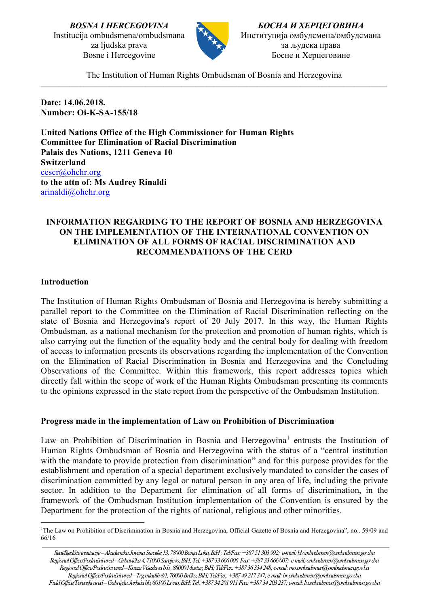*BOSNA I HERCEGOVINA* Institucija ombudsmena/ombudsmana za ljudska prava Bosne i Hercegovine



*БОСНА И ХЕРЦЕГОВИНА* Институција омбудсмена/омбудсмана за људска права Босне и Херцеговине

The Institution of Human Rights Ombudsman of Bosnia and Herzegovina \_\_\_\_\_\_\_\_\_\_\_\_\_\_\_\_\_\_\_\_\_\_\_\_\_\_\_\_\_\_\_\_\_\_\_\_\_\_\_\_\_\_\_\_\_\_\_\_\_\_\_\_\_\_\_\_\_\_\_\_\_\_\_\_\_\_\_\_\_\_\_\_\_\_\_\_\_\_\_\_\_\_\_\_\_\_\_\_\_\_\_\_\_\_\_\_

**Date: 14.06.2018. Number: Oi-K-SA-155/18**

**United Nations Office of the High Commissioner for Human Rights Committee for Elimination of Racial Discrimination Palais des Nations, 1211 Geneva 10 Switzerland** [cescr@ohchr.org](mailto:cescr@ohchr.org) **to the attn of: Ms Audrey Rinaldi** [arinaldi@ohchr.org](mailto:arinaldi@ohchr.org)

## **INFORMATION REGARDING TO THE REPORT OF BOSNIA AND HERZEGOVINA ON THE IMPLEMENTATION OF THE INTERNATIONAL CONVENTION ON ELIMINATION OF ALL FORMS OF RACIAL DISCRIMINATION AND RECOMMENDATIONS OF THE CERD**

## **Introduction**

The Institution of Human Rights Ombudsman of Bosnia and Herzegovina is hereby submitting a parallel report to the Committee on the Elimination of Racial Discrimination reflecting on the state of Bosnia and Herzegovina's report of 20 July 2017. In this way, the Human Rights Ombudsman, as a national mechanism for the protection and promotion of human rights, which is also carrying out the function of the equality body and the central body for dealing with freedom of access to information presents its observations regarding the implementation of the Convention on the Elimination of Racial Discrimination in Bosnia and Herzegovina and the Concluding Observations of the Committee. Within this framework, this report addresses topics which directly fall within the scope of work of the Human Rights Ombudsman presenting its comments to the opinions expressed in the state report from the perspective of the Ombudsman Institution.

#### **Progress made in the implementation of Law on Prohibition of Discrimination**

Law on Prohibition of Discrimination in Bosnia and Herzegovina<sup>[1](#page-0-0)</sup> entrusts the Institution of Human Rights Ombudsman of Bosnia and Herzegovina with the status of a "central institution with the mandate to provide protection from discrimination" and for this purpose provides for the establishment and operation of a special department exclusively mandated to consider the cases of discrimination committed by any legal or natural person in any area of life, including the private sector. In addition to the Department for elimination of all forms of discrimination, in the framework of the Ombudsman Institution implementation of the Convention is ensured by the Department for the protection of the rights of national, religious and other minorities.

<span id="page-0-0"></span> $\frac{1}{1}$ <sup>1</sup>The Law on Prohibition of Discrimination in Bosnia and Herzegovina, Official Gazette of Bosnia and Herzegovina", no.. 59/09 and 66/16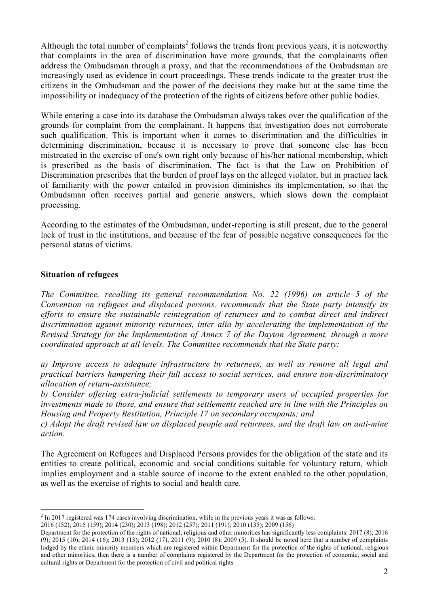Although the total number of complaints<sup>[2](#page-1-0)</sup> follows the trends from previous years, it is noteworthy that complaints in the area of discrimination have more grounds, that the complainants often address the Ombudsman through a proxy, and that the recommendations of the Ombudsman are increasingly used as evidence in court proceedings. These trends indicate to the greater trust the citizens in the Ombudsman and the power of the decisions they make but at the same time the impossibility or inadequacy of the protection of the rights of citizens before other public bodies.

While entering a case into its database the Ombudsman always takes over the qualification of the grounds for complaint from the complainant. It happens that investigation does not corroborate such qualification. This is important when it comes to discrimination and the difficulties in determining discrimination, because it is necessary to prove that someone else has been mistreated in the exercise of one's own right only because of his/her national membership, which is prescribed as the basis of discrimination. The fact is that the Law on Prohibition of Discrimination prescribes that the burden of proof lays on the alleged violator, but in practice lack of familiarity with the power entailed in provision diminishes its implementation, so that the Ombudsman often receives partial and generic answers, which slows down the complaint processing.

According to the estimates of the Ombudsman, under-reporting is still present, due to the general lack of trust in the institutions, and because of the fear of possible negative consequences for the personal status of victims.

# **Situation of refugees**

*The Committee, recalling its general recommendation No. 22 (1996) on article 5 of the Convention on refugees and displaced persons, recommends that the State party intensify its efforts to ensure the sustainable reintegration of returnees and to combat direct and indirect discrimination against minority returnees, inter alia by accelerating the implementation of the Revised Strategy for the Implementation of Annex 7 of the Dayton Agreement, through a more coordinated approach at all levels. The Committee recommends that the State party:*

*a) Improve access to adequate infrastructure by returnees, as well as remove all legal and practical barriers hampering their full access to social services, and ensure non-discriminatory allocation of return-assistance;*

*b) Consider offering extra-judicial settlements to temporary users of occupied properties for investments made to those, and ensure that settlements reached are in line with the Principles on Housing and Property Restitution, Principle 17 on secondary occupants; and*

*c) Adopt the draft revised law on displaced people and returnees, and the draft law on anti-mine action.*

The Agreement on Refugees and Displaced Persons provides for the obligation of the state and its entities to create political, economic and social conditions suitable for voluntary return, which implies employment and a stable source of income to the extent enabled to the other population, as well as the exercise of rights to social and health care.

<sup>&</sup>lt;sup>2</sup> In 2017 registered was 174 cases involving discrimination, while in the previous years it was as follows:

<span id="page-1-0"></span><sup>2016 (152); 2015 (159); 2014 (230); 2013 (198); 2012 (257); 2011 (191); 2010 (135); 2009 (156)</sup>

Department for the protection of the rights of national, religious and other minorities has significantly less complaints: 2017 (8); 2016 (9); 2015 (10); 2014 (16); 2013 (13); 2012 (17); 2011 (9); 2010 (8); 2009 (5). It should be noted here that a number of complaints lodged by the ethnic minority members which are registered within Department for the protection of the rights of national, religious and other minorities, then there is a number of complaints registered by the Department for the protection of economic, social and cultural rights or Department for the protection of civil and political rights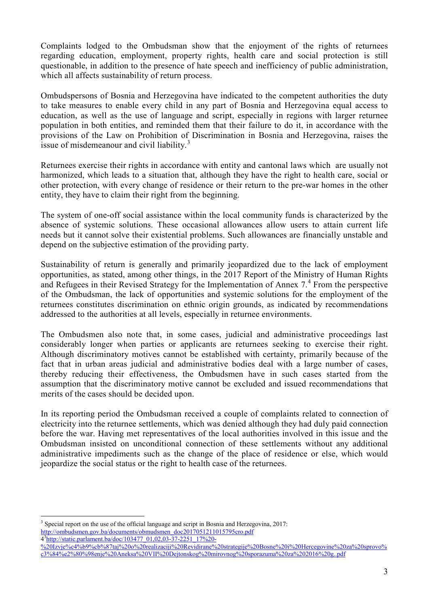Complaints lodged to the Ombudsman show that the enjoyment of the rights of returnees regarding education, employment, property rights, health care and social protection is still questionable, in addition to the presence of hate speech and inefficiency of public administration, which all affects sustainability of return process.

Ombudspersons of Bosnia and Herzegovina have indicated to the competent authorities the duty to take measures to enable every child in any part of Bosnia and Herzegovina equal access to education, as well as the use of language and script, especially in regions with larger returnee population in both entities, and reminded them that their failure to do it, in accordance with the provisions of the Law on Prohibition of Discrimination in Bosnia and Herzegovina, raises the issue of misdemeanour and civil liability.<sup>[3](#page-2-0)</sup>

Returnees exercise their rights in accordance with entity and cantonal laws which are usually not harmonized, which leads to a situation that, although they have the right to health care, social or other protection, with every change of residence or their return to the pre-war homes in the other entity, they have to claim their right from the beginning.

The system of one-off social assistance within the local community funds is characterized by the absence of systemic solutions. These occasional allowances allow users to attain current life needs but it cannot solve their existential problems. Such allowances are financially unstable and depend on the subjective estimation of the providing party.

Sustainability of return is generally and primarily jeopardized due to the lack of employment opportunities, as stated, among other things, in the 2017 Report of the Ministry of Human Rights and Refugees in their Revised Strategy for the Implementation of Annex 7.<sup>[4](#page-2-1)</sup> From the perspective of the Ombudsman, the lack of opportunities and systemic solutions for the employment of the returnees constitutes discrimination on ethnic origin grounds, as indicated by recommendations addressed to the authorities at all levels, especially in returnee environments.

The Ombudsmen also note that, in some cases, judicial and administrative proceedings last considerably longer when parties or applicants are returnees seeking to exercise their right. Although discriminatory motives cannot be established with certainty, primarily because of the fact that in urban areas judicial and administrative bodies deal with a large number of cases, thereby reducing their effectiveness, the Ombudsmen have in such cases started from the assumption that the discriminatory motive cannot be excluded and issued recommendations that merits of the cases should be decided upon.

In its reporting period the Ombudsman received a couple of complaints related to connection of electricity into the returnee settlements, which was denied although they had duly paid connection before the war. Having met representatives of the local authorities involved in this issue and the Ombudsman insisted on unconditional connection of these settlements without any additional administrative impediments such as the change of the place of residence or else, which would jeopardize the social status or the right to health case of the returnees.

<span id="page-2-0"></span><sup>&</sup>lt;sup>3</sup> Special report on the use of the official language and script in Bosnia and Herzegovina, 2017: [http://ombudsmen.gov.ba/documents/obmudsmen\\_doc2017051211015795cro.pdf](http://ombudsmen.gov.ba/documents/obmudsmen_doc2017051211015795cro.pdf)

<sup>4&</sup>lt;sup>3</sup>[http://static.parlament.ba/doc/103477\\_01,02,03-37-2251\\_17%20-](http://static.parlament.ba/doc/103477_01,02,03-37-2251_17%20-%20Izvje%c4%b9%cb%87taj%20o%20realizaciji%20Revidirane%20strategije%20Bosne%20i%20Hercegovine%20za%20sprovo%c3%84%e2%80%98enje%20Aneksa%20VII%20Dejtonskog%20mirovnog%20sporazuma%20za%202016%20g..pdf)

<span id="page-2-1"></span>[<sup>%20</sup>Izvje%c4%b9%cb%87taj%20o%20realizaciji%20Revidirane%20strategije%20Bosne%20i%20Hercegovine%20za%20sprovo%](http://static.parlament.ba/doc/103477_01,02,03-37-2251_17%20-%20Izvje%c4%b9%cb%87taj%20o%20realizaciji%20Revidirane%20strategije%20Bosne%20i%20Hercegovine%20za%20sprovo%c3%84%e2%80%98enje%20Aneksa%20VII%20Dejtonskog%20mirovnog%20sporazuma%20za%202016%20g..pdf) [c3%84%e2%80%98enje%20Aneksa%20VII%20Dejtonskog%20mirovnog%20sporazuma%20za%202016%20g..pdf](http://static.parlament.ba/doc/103477_01,02,03-37-2251_17%20-%20Izvje%c4%b9%cb%87taj%20o%20realizaciji%20Revidirane%20strategije%20Bosne%20i%20Hercegovine%20za%20sprovo%c3%84%e2%80%98enje%20Aneksa%20VII%20Dejtonskog%20mirovnog%20sporazuma%20za%202016%20g..pdf)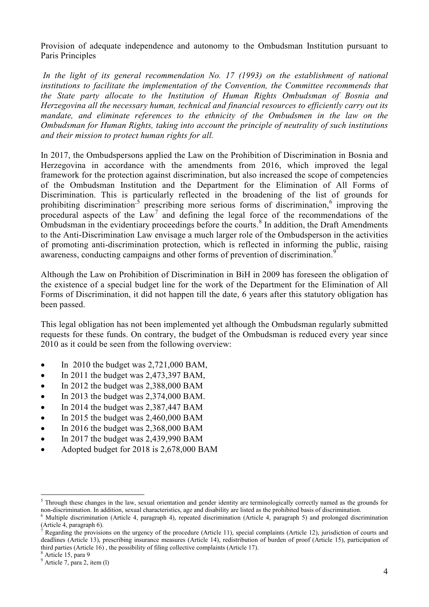Provision of adequate independence and autonomy to the Ombudsman Institution pursuant to Paris Principles

*In the light of its general recommendation No. 17 (1993) on the establishment of national institutions to facilitate the implementation of the Convention, the Committee recommends that the State party allocate to the Institution of Human Rights Ombudsman of Bosnia and Herzegovina all the necessary human, technical and financial resources to efficiently carry out its mandate, and eliminate references to the ethnicity of the Ombudsmen in the law on the Ombudsman for Human Rights, taking into account the principle of neutrality of such institutions and their mission to protect human rights for all.*

In 2017, the Ombudspersons applied the Law on the Prohibition of Discrimination in Bosnia and Herzegovina in accordance with the amendments from 2016, which improved the legal framework for the protection against discrimination, but also increased the scope of competencies of the Ombudsman Institution and the Department for the Elimination of All Forms of Discrimination. This is particularly reflected in the broadening of the list of grounds for prohibiting discrimination<sup>[5](#page-3-0)</sup> prescribing more serious forms of discrimination, $6$  improving the procedural aspects of the  $Law<sup>7</sup>$  $Law<sup>7</sup>$  $Law<sup>7</sup>$  and defining the legal force of the recommendations of the Ombudsman in the evidentiary proceedings before the courts. $8$  In addition, the Draft Amendments to the Anti-Discrimination Law envisage a much larger role of the Ombudsperson in the activities of promoting anti-discrimination protection, which is reflected in informing the public, raising awareness, conducting campaigns and other forms of prevention of discrimination.<sup>[9](#page-3-4)</sup>

Although the Law on Prohibition of Discrimination in BiH in 2009 has foreseen the obligation of the existence of a special budget line for the work of the Department for the Elimination of All Forms of Discrimination, it did not happen till the date, 6 years after this statutory obligation has been passed.

This legal obligation has not been implemented yet although the Ombudsman regularly submitted requests for these funds. On contrary, the budget of the Ombudsman is reduced every year since 2010 as it could be seen from the following overview:

- In 2010 the budget was 2,721,000 BAM,
- In 2011 the budget was 2,473,397 BAM,
- In 2012 the budget was 2,388,000 BAM
- In 2013 the budget was 2,374,000 BAM.
- In 2014 the budget was 2,387,447 BAM
- In 2015 the budget was 2,460,000 BAM
- In 2016 the budget was 2,368,000 BAM
- In 2017 the budget was 2,439,990 BAM
- Adopted budget for 2018 is 2,678,000 BAM

<span id="page-3-0"></span> $5$  Through these changes in the law, sexual orientation and gender identity are terminologically correctly named as the grounds for non-discrimination. In addition, sexual characteristics, age and disability are listed a

<span id="page-3-1"></span>Multiple discrimination (Article 4, paragraph 4), repeated discrimination (Article 4, paragraph 5) and prolonged discrimination (Article 4, paragraph 6).

<span id="page-3-2"></span><sup>7</sup> Regarding the provisions on the urgency of the procedure (Article 11), special complaints (Article 12), jurisdiction of courts and deadlines (Article 13), prescribing insurance measures (Article 14), redistribution of burden of proof (Article 15), participation of third parties (Article 16) , the possibility of filing collective complaints (Article 17). <sup>8</sup> Article 15, para 9

<span id="page-3-4"></span><span id="page-3-3"></span> $9$  Article 7, para 2, item (l)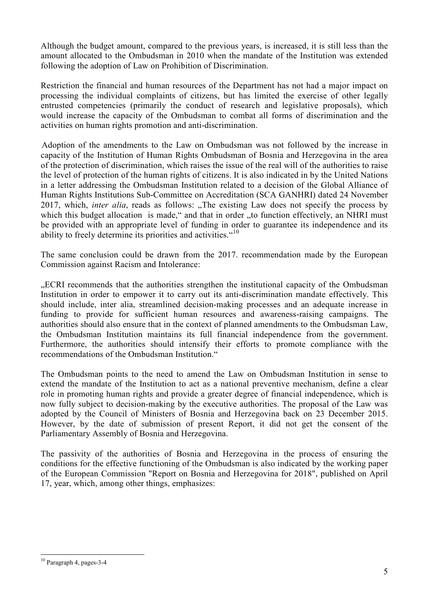Although the budget amount, compared to the previous years, is increased, it is still less than the amount allocated to the Ombudsman in 2010 when the mandate of the Institution was extended following the adoption of Law on Prohibition of Discrimination.

Restriction the financial and human resources of the Department has not had a major impact on processing the individual complaints of citizens, but has limited the exercise of other legally entrusted competencies (primarily the conduct of research and legislative proposals), which would increase the capacity of the Ombudsman to combat all forms of discrimination and the activities on human rights promotion and anti-discrimination.

Adoption of the amendments to the Law on Ombudsman was not followed by the increase in capacity of the Institution of Human Rights Ombudsman of Bosnia and Herzegovina in the area of the protection of discrimination, which raises the issue of the real will of the authorities to raise the level of protection of the human rights of citizens. It is also indicated in by the United Nations in a letter addressing the Ombudsman Institution related to a decision of the Global Alliance of Human Rights Institutions Sub-Committee on Accreditation (SCA GANHRI) dated 24 November 2017, which, *inter alia*, reads as follows: "The existing Law does not specify the process by which this budget allocation is made," and that in order "to function effectively, an NHRI must be provided with an appropriate level of funding in order to guarantee its independence and its ability to freely determine its priorities and activities."<sup>[10](#page-4-0)</sup>

The same conclusion could be drawn from the 2017. recommendation made by the European Commission against Racism and Intolerance:

"ECRI recommends that the authorities strengthen the institutional capacity of the Ombudsman Institution in order to empower it to carry out its anti-discrimination mandate effectively. This should include, inter alia, streamlined decision-making processes and an adequate increase in funding to provide for sufficient human resources and awareness-raising campaigns. The authorities should also ensure that in the context of planned amendments to the Ombudsman Law, the Ombudsman Institution maintains its full financial independence from the government. Furthermore, the authorities should intensify their efforts to promote compliance with the recommendations of the Ombudsman Institution."

The Ombudsman points to the need to amend the Law on Ombudsman Institution in sense to extend the mandate of the Institution to act as a national preventive mechanism, define a clear role in promoting human rights and provide a greater degree of financial independence, which is now fully subject to decision-making by the executive authorities. The proposal of the Law was adopted by the Council of Ministers of Bosnia and Herzegovina back on 23 December 2015. However, by the date of submission of present Report, it did not get the consent of the Parliamentary Assembly of Bosnia and Herzegovina.

The passivity of the authorities of Bosnia and Herzegovina in the process of ensuring the conditions for the effective functioning of the Ombudsman is also indicated by the working paper of the European Commission "Report on Bosnia and Herzegovina for 2018", published on April 17, year, which, among other things, emphasizes:

<span id="page-4-0"></span> <sup>10</sup> Paragraph 4, pages-3-4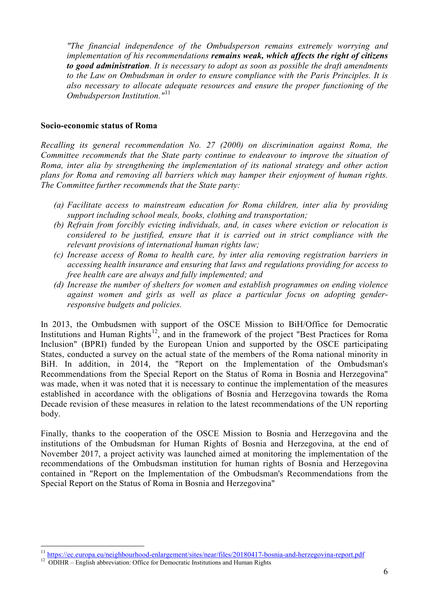*"The financial independence of the Ombudsperson remains extremely worrying and implementation of his recommendations remains weak, which affects the right of citizens to good administration. It is necessary to adopt as soon as possible the draft amendments to the Law on Ombudsman in order to ensure compliance with the Paris Principles. It is also necessary to allocate adequate resources and ensure the proper functioning of the Ombudsperson Institution."*[11](#page-5-0)

#### **Socio-economic status of Roma**

*Recalling its general recommendation No. 27 (2000) on discrimination against Roma, the Committee recommends that the State party continue to endeavour to improve the situation of Roma, inter alia by strengthening the implementation of its national strategy and other action plans for Roma and removing all barriers which may hamper their enjoyment of human rights. The Committee further recommends that the State party:*

- *(a) Facilitate access to mainstream education for Roma children, inter alia by providing support including school meals, books, clothing and transportation;*
- *(b) Refrain from forcibly evicting individuals, and, in cases where eviction or relocation is considered to be justified, ensure that it is carried out in strict compliance with the relevant provisions of international human rights law;*
- *(c) Increase access of Roma to health care, by inter alia removing registration barriers in accessing health insurance and ensuring that laws and regulations providing for access to free health care are always and fully implemented; and*
- *(d) Increase the number of shelters for women and establish programmes on ending violence against women and girls as well as place a particular focus on adopting genderresponsive budgets and policies.*

In 2013, the Ombudsmen with support of the OSCE Mission to BiH/Office for Democratic Institutions and Human Rights<sup>12</sup>, and in the framework of the project "Best Practices for Roma" Inclusion" (BPRI) funded by the European Union and supported by the OSCE participating States, conducted a survey on the actual state of the members of the Roma national minority in BiH. In addition, in 2014, the "Report on the Implementation of the Ombudsman's Recommendations from the Special Report on the Status of Roma in Bosnia and Herzegovina" was made, when it was noted that it is necessary to continue the implementation of the measures established in accordance with the obligations of Bosnia and Herzegovina towards the Roma Decade revision of these measures in relation to the latest recommendations of the UN reporting body.

Finally, thanks to the cooperation of the OSCE Mission to Bosnia and Herzegovina and the institutions of the Ombudsman for Human Rights of Bosnia and Herzegovina, at the end of November 2017, a project activity was launched aimed at monitoring the implementation of the recommendations of the Ombudsman institution for human rights of Bosnia and Herzegovina contained in "Report on the Implementation of the Ombudsman's Recommendations from the Special Report on the Status of Roma in Bosnia and Herzegovina"

<span id="page-5-0"></span> $11 \frac{\text{https://ec.europa.eu/neighborhood-enlargement/sites/near/files/20180417-bosnia-and-herzegovina-report.pdf}}{\text{ODIHR}-English abbreviation: Office for Democratic Institutes/ant Itur and Human Rights}}$ 

<span id="page-5-1"></span>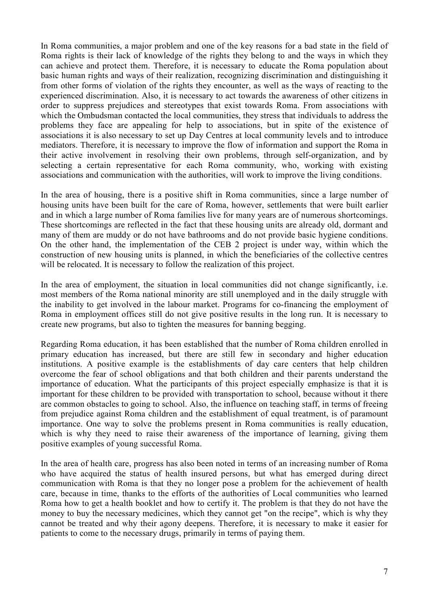In Roma communities, a major problem and one of the key reasons for a bad state in the field of Roma rights is their lack of knowledge of the rights they belong to and the ways in which they can achieve and protect them. Therefore, it is necessary to educate the Roma population about basic human rights and ways of their realization, recognizing discrimination and distinguishing it from other forms of violation of the rights they encounter, as well as the ways of reacting to the experienced discrimination. Also, it is necessary to act towards the awareness of other citizens in order to suppress prejudices and stereotypes that exist towards Roma. From associations with which the Ombudsman contacted the local communities, they stress that individuals to address the problems they face are appealing for help to associations, but in spite of the existence of associations it is also necessary to set up Day Centres at local community levels and to introduce mediators. Therefore, it is necessary to improve the flow of information and support the Roma in their active involvement in resolving their own problems, through self-organization, and by selecting a certain representative for each Roma community, who, working with existing associations and communication with the authorities, will work to improve the living conditions.

In the area of housing, there is a positive shift in Roma communities, since a large number of housing units have been built for the care of Roma, however, settlements that were built earlier and in which a large number of Roma families live for many years are of numerous shortcomings. These shortcomings are reflected in the fact that these housing units are already old, dormant and many of them are muddy or do not have bathrooms and do not provide basic hygiene conditions. On the other hand, the implementation of the CEB 2 project is under way, within which the construction of new housing units is planned, in which the beneficiaries of the collective centres will be relocated. It is necessary to follow the realization of this project.

In the area of employment, the situation in local communities did not change significantly, i.e. most members of the Roma national minority are still unemployed and in the daily struggle with the inability to get involved in the labour market. Programs for co-financing the employment of Roma in employment offices still do not give positive results in the long run. It is necessary to create new programs, but also to tighten the measures for banning begging.

Regarding Roma education, it has been established that the number of Roma children enrolled in primary education has increased, but there are still few in secondary and higher education institutions. A positive example is the establishments of day care centers that help children overcome the fear of school obligations and that both children and their parents understand the importance of education. What the participants of this project especially emphasize is that it is important for these children to be provided with transportation to school, because without it there are common obstacles to going to school. Also, the influence on teaching staff, in terms of freeing from prejudice against Roma children and the establishment of equal treatment, is of paramount importance. One way to solve the problems present in Roma communities is really education, which is why they need to raise their awareness of the importance of learning, giving them positive examples of young successful Roma.

In the area of health care, progress has also been noted in terms of an increasing number of Roma who have acquired the status of health insured persons, but what has emerged during direct communication with Roma is that they no longer pose a problem for the achievement of health care, because in time, thanks to the efforts of the authorities of Local communities who learned Roma how to get a health booklet and how to certify it. The problem is that they do not have the money to buy the necessary medicines, which they cannot get "on the recipe", which is why they cannot be treated and why their agony deepens. Therefore, it is necessary to make it easier for patients to come to the necessary drugs, primarily in terms of paying them.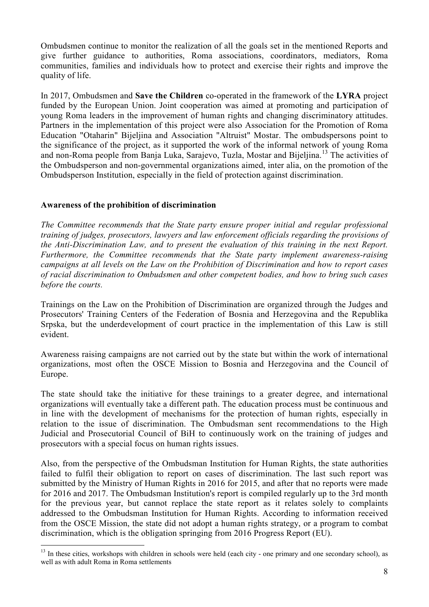Ombudsmen continue to monitor the realization of all the goals set in the mentioned Reports and give further guidance to authorities, Roma associations, coordinators, mediators, Roma communities, families and individuals how to protect and exercise their rights and improve the quality of life.

In 2017, Ombudsmen and **Save the Children** co-operated in the framework of the **LYRA** project funded by the European Union. Joint cooperation was aimed at promoting and participation of young Roma leaders in the improvement of human rights and changing discriminatory attitudes. Partners in the implementation of this project were also Association for the Promotion of Roma Education "Otaharin" Bijeljina and Association "Altruist" Mostar. The ombudspersons point to the significance of the project, as it supported the work of the informal network of young Roma and non-Roma people from Banja Luka, Sarajevo, Tuzla, Mostar and Bijeljina.[13](#page-7-0) The activities of the Ombudsperson and non-governmental organizations aimed, inter alia, on the promotion of the Ombudsperson Institution, especially in the field of protection against discrimination.

# **Awareness of the prohibition of discrimination**

*The Committee recommends that the State party ensure proper initial and regular professional training of judges, prosecutors, lawyers and law enforcement officials regarding the provisions of the Anti-Discrimination Law, and to present the evaluation of this training in the next Report. Furthermore, the Committee recommends that the State party implement awareness-raising campaigns at all levels on the Law on the Prohibition of Discrimination and how to report cases of racial discrimination to Ombudsmen and other competent bodies, and how to bring such cases before the courts.*

Trainings on the Law on the Prohibition of Discrimination are organized through the Judges and Prosecutors' Training Centers of the Federation of Bosnia and Herzegovina and the Republika Srpska, but the underdevelopment of court practice in the implementation of this Law is still evident.

Awareness raising campaigns are not carried out by the state but within the work of international organizations, most often the OSCE Mission to Bosnia and Herzegovina and the Council of Europe.

The state should take the initiative for these trainings to a greater degree, and international organizations will eventually take a different path. The education process must be continuous and in line with the development of mechanisms for the protection of human rights, especially in relation to the issue of discrimination. The Ombudsman sent recommendations to the High Judicial and Prosecutorial Council of BiH to continuously work on the training of judges and prosecutors with a special focus on human rights issues.

Also, from the perspective of the Ombudsman Institution for Human Rights, the state authorities failed to fulfil their obligation to report on cases of discrimination. The last such report was submitted by the Ministry of Human Rights in 2016 for 2015, and after that no reports were made for 2016 and 2017. The Ombudsman Institution's report is compiled regularly up to the 3rd month for the previous year, but cannot replace the state report as it relates solely to complaints addressed to the Ombudsman Institution for Human Rights. According to information received from the OSCE Mission, the state did not adopt a human rights strategy, or a program to combat discrimination, which is the obligation springing from 2016 Progress Report (EU).

<span id="page-7-0"></span><sup>&</sup>lt;sup>13</sup> In these cities, workshops with children in schools were held (each city - one primary and one secondary school), as well as with adult Roma in Roma settlements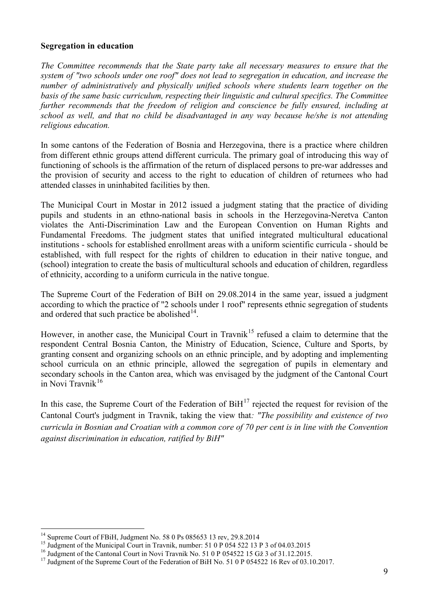## **Segregation in education**

*The Committee recommends that the State party take all necessary measures to ensure that the system of "two schools under one roof" does not lead to segregation in education, and increase the number of administratively and physically unified schools where students learn together on the basis of the same basic curriculum, respecting their linguistic and cultural specifics. The Committee*  further recommends that the freedom of religion and conscience be fully ensured, including at *school as well, and that no child be disadvantaged in any way because he/she is not attending religious education.*

In some cantons of the Federation of Bosnia and Herzegovina, there is a practice where children from different ethnic groups attend different curricula. The primary goal of introducing this way of functioning of schools is the affirmation of the return of displaced persons to pre-war addresses and the provision of security and access to the right to education of children of returnees who had attended classes in uninhabited facilities by then.

The Municipal Court in Mostar in 2012 issued a judgment stating that the practice of dividing pupils and students in an ethno-national basis in schools in the Herzegovina-Neretva Canton violates the Anti-Discrimination Law and the European Convention on Human Rights and Fundamental Freedoms. The judgment states that unified integrated multicultural educational institutions - schools for established enrollment areas with a uniform scientific curricula - should be established, with full respect for the rights of children to education in their native tongue, and (school) integration to create the basis of multicultural schools and education of children, regardless of ethnicity, according to a uniform curricula in the native tongue.

The Supreme Court of the Federation of BiH on 29.08.2014 in the same year, issued a judgment according to which the practice of "2 schools under 1 roof" represents ethnic segregation of students and ordered that such practice be abolished $14$ .

However, in another case, the Municipal Court in Travnik<sup>[15](#page-8-1)</sup> refused a claim to determine that the respondent Central Bosnia Canton, the Ministry of Education, Science, Culture and Sports, by granting consent and organizing schools on an ethnic principle, and by adopting and implementing school curricula on an ethnic principle, allowed the segregation of pupils in elementary and secondary schools in the Canton area, which was envisaged by the judgment of the Cantonal Court in Novi Travnik<sup>[16](#page-8-2)</sup>

In this case, the Supreme Court of the Federation of  $BiH<sup>17</sup>$  $BiH<sup>17</sup>$  $BiH<sup>17</sup>$  rejected the request for revision of the Cantonal Court's judgment in Travnik, taking the view that*: "The possibility and existence of two curricula in Bosnian and Croatian with a common core of 70 per cent is in line with the Convention against discrimination in education, ratified by BiH"*

<span id="page-8-2"></span><span id="page-8-1"></span>

<span id="page-8-0"></span><sup>&</sup>lt;sup>14</sup> Supreme Court of FBiH, Judgment No. 58 0 Ps 085653 13 rev, 29.8.2014<br><sup>15</sup> Judgment of the Municipal Court in Travnik, number: 51 0 P 054 522 13 P 3 of 04.03.2015<br><sup>16</sup> Judgment of the Cantonal Court in Novi Travnik No

<span id="page-8-3"></span>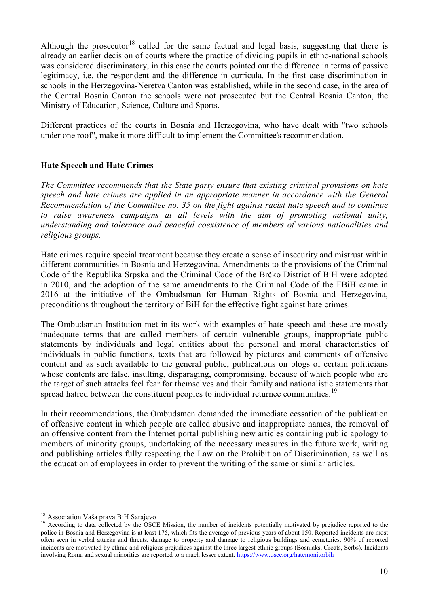Although the prosecutor<sup>[18](#page-9-0)</sup> called for the same factual and legal basis, suggesting that there is already an earlier decision of courts where the practice of dividing pupils in ethno-national schools was considered discriminatory, in this case the courts pointed out the difference in terms of passive legitimacy, i.e. the respondent and the difference in curricula. In the first case discrimination in schools in the Herzegovina-Neretva Canton was established, while in the second case, in the area of the Central Bosnia Canton the schools were not prosecuted but the Central Bosnia Canton, the Ministry of Education, Science, Culture and Sports.

Different practices of the courts in Bosnia and Herzegovina, who have dealt with "two schools under one roof", make it more difficult to implement the Committee's recommendation.

# **Hate Speech and Hate Crimes**

*The Committee recommends that the State party ensure that existing criminal provisions on hate speech and hate crimes are applied in an appropriate manner in accordance with the General Recommendation of the Committee no. 35 on the fight against racist hate speech and to continue to raise awareness campaigns at all levels with the aim of promoting national unity, understanding and tolerance and peaceful coexistence of members of various nationalities and religious groups.*

Hate crimes require special treatment because they create a sense of insecurity and mistrust within different communities in Bosnia and Herzegovina. Amendments to the provisions of the Criminal Code of the Republika Srpska and the Criminal Code of the Brčko District of BiH were adopted in 2010, and the adoption of the same amendments to the Criminal Code of the FBiH came in 2016 at the initiative of the Ombudsman for Human Rights of Bosnia and Herzegovina, preconditions throughout the territory of BiH for the effective fight against hate crimes.

The Ombudsman Institution met in its work with examples of hate speech and these are mostly inadequate terms that are called members of certain vulnerable groups, inappropriate public statements by individuals and legal entities about the personal and moral characteristics of individuals in public functions, texts that are followed by pictures and comments of offensive content and as such available to the general public, publications on blogs of certain politicians whose contents are false, insulting, disparaging, compromising, because of which people who are the target of such attacks feel fear for themselves and their family and nationalistic statements that spread hatred between the constituent peoples to individual returnee communities.<sup>[19](#page-9-1)</sup>

In their recommendations, the Ombudsmen demanded the immediate cessation of the publication of offensive content in which people are called abusive and inappropriate names, the removal of an offensive content from the Internet portal publishing new articles containing public apology to members of minority groups, undertaking of the necessary measures in the future work, writing and publishing articles fully respecting the Law on the Prohibition of Discrimination, as well as the education of employees in order to prevent the writing of the same or similar articles.

<span id="page-9-1"></span><span id="page-9-0"></span><sup>&</sup>lt;sup>18</sup> Association Vaša prava BiH Sarajevo<br><sup>19</sup> According to data collected by the OSCE Mission, the number of incidents potentially motivated by prejudice reported to the police in Bosnia and Herzegovina is at least 175, which fits the average of previous years of about 150. Reported incidents are most often seen in verbal attacks and threats, damage to property and damage to religious buildings and cemeteries. 90% of reported incidents are motivated by ethnic and religious prejudices against the three largest ethnic groups (Bosniaks, Croats, Serbs). Incidents involving Roma and sexual minorities are reported to a much lesser extent.<https://www.osce.org/hatemonitorbih>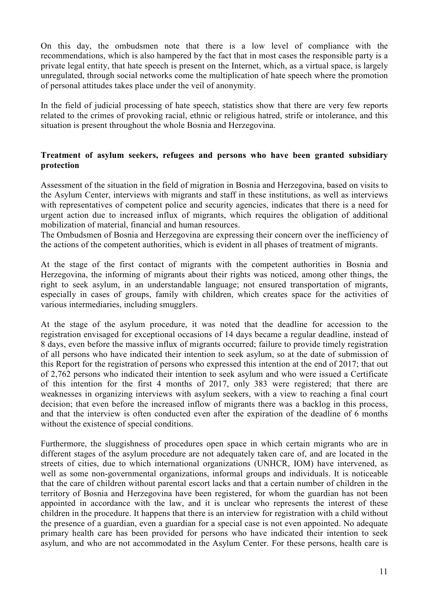On this day, the ombudsmen note that there is a low level of compliance with the recommendations, which is also hampered by the fact that in most cases the responsible party is a private legal entity, that hate speech is present on the Internet, which, as a virtual space, is largely unregulated, through social networks come the multiplication of hate speech where the promotion of personal attitudes takes place under the veil of anonymity.

In the field of judicial processing of hate speech, statistics show that there are very few reports related to the crimes of provoking racial, ethnic or religious hatred, strife or intolerance, and this situation is present throughout the whole Bosnia and Herzegovina.

## **Treatment of asylum seekers, refugees and persons who have been granted subsidiary protection**

Assessment of the situation in the field of migration in Bosnia and Herzegovina, based on visits to the Asylum Center, interviews with migrants and staff in these institutions, as well as interviews with representatives of competent police and security agencies, indicates that there is a need for urgent action due to increased influx of migrants, which requires the obligation of additional mobilization of material, financial and human resources.

The Ombudsmen of Bosnia and Herzegovina are expressing their concern over the inefficiency of the actions of the competent authorities, which is evident in all phases of treatment of migrants.

At the stage of the first contact of migrants with the competent authorities in Bosnia and Herzegovina, the informing of migrants about their rights was noticed, among other things, the right to seek asylum, in an understandable language; not ensured transportation of migrants, especially in cases of groups, family with children, which creates space for the activities of various intermediaries, including smugglers.

At the stage of the asylum procedure, it was noted that the deadline for accession to the registration envisaged for exceptional occasions of 14 days became a regular deadline, instead of 8 days, even before the massive influx of migrants occurred; failure to provide timely registration of all persons who have indicated their intention to seek asylum, so at the date of submission of this Report for the registration of persons who expressed this intention at the end of 2017; that out of 2,762 persons who indicated their intention to seek asylum and who were issued a Certificate of this intention for the first 4 months of 2017, only 383 were registered; that there are weaknesses in organizing interviews with asylum seekers, with a view to reaching a final court decision; that even before the increased inflow of migrants there was a backlog in this process, and that the interview is often conducted even after the expiration of the deadline of 6 months without the existence of special conditions.

Furthermore, the sluggishness of procedures open space in which certain migrants who are in different stages of the asylum procedure are not adequately taken care of, and are located in the streets of cities, due to which international organizations (UNHCR, IOM) have intervened, as well as some non-governmental organizations, informal groups and individuals. It is noticeable that the care of children without parental escort lacks and that a certain number of children in the territory of Bosnia and Herzegovina have been registered, for whom the guardian has not been appointed in accordance with the law, and it is unclear who represents the interest of these children in the procedure. It happens that there is an interview for registration with a child without the presence of a guardian, even a guardian for a special case is not even appointed. No adequate primary health care has been provided for persons who have indicated their intention to seek asylum, and who are not accommodated in the Asylum Center. For these persons, health care is